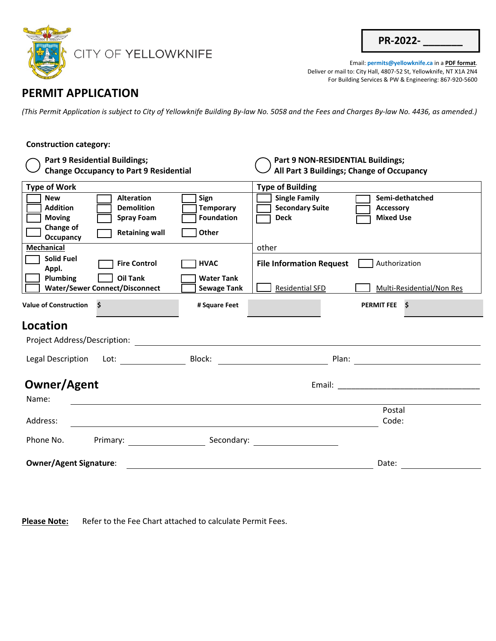

| <b>PR-2022-</b> |  |
|-----------------|--|
|                 |  |

Email: **permits@yellowknife.ca** in a **PDF format**. Deliver or mail to: City Hall, 4807-52 St, Yellowknife, NT X1A 2N4 For Building Services & PW & Engineering: 867-920-5600

## **PERMIT APPLICATION**

*(This Permit Application is subject to City of Yellowknife Building By-law No. 5058 and the Fees and Charges By-law No. 4436, as amended.)* 

## **Construction category: Part 9 Residential Buildings; Change Occupancy to Part 9 Residential Part 9 NON-RESIDENTIAL Buildings; All Part 3 Buildings; Change of Occupancy Type of Work Type of Building** New **Construction** Sign Sign Single Family Semi-dethatched Addition **Demolition** Temporary **Temporary 1** Secondary Suite **Temporary 1** Accessory **Moving The Spray Foam The Spration Deck The Spray Foundation Deck The Mixed Use Change of OCCUPANCY CONSUMED CONSUMED SET OF A RETAINING WALL CONSUMED SET OF A RETAINING WALK CONSUMED SET OF A RETAINING WALK CONSUMED SET OF A RETAINING WALK CONSUMER SET OF A RETAINING WALK CONSUMER SET OF A RETAINING WALK CONS Mechanical** other **Solid Fuel Appl. Fire Control File Information Request** Authorization **Appl.** Plumbing **Oil Tank Water Tank Water/Sewer Connect/Disconnect**  $\Box$  **Sewage Tank**  $\Box$  Residential SFD Multi-Residential/Non Res **Value of Construction \$**  $\bullet$  **# Square Feet PERMIT FEE \$ Location**  Project Address/Description: Legal Description Lot: Block: Plan:  **Owner/Agent**  Name: Address: Postal Code: Phone No. **Primary:** Secondary: Secondary: **Owner/Agent Signature:** Date: Date: Date: Date: Date: Date: Date: Date: Date: Date: Date: Date: Date: Date: Date: Date: Date: Date: Date: Date: Date: Date: Date: Date: Date: Date: Date: Date: Date: Date: Date: Date: Date: Email: \_\_\_\_\_\_\_\_\_\_\_\_\_\_\_\_\_\_\_\_\_\_\_\_\_\_\_\_\_\_\_\_

Please Note: Refer to the Fee Chart attached to calculate Permit Fees.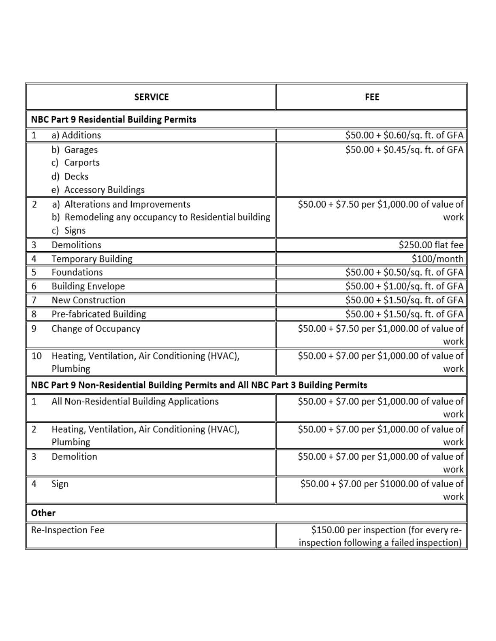|                                                                                 | <b>SERVICE</b>                                      | FEE                                         |  |
|---------------------------------------------------------------------------------|-----------------------------------------------------|---------------------------------------------|--|
| NBC Part 9 Residential Building Permits                                         |                                                     |                                             |  |
| $\mathbf 1$                                                                     | a) Additions                                        | \$50.00 + \$0.60/sq. ft. of GFA             |  |
|                                                                                 | b) Garages                                          | $$50.00 + $0.45/sq$ . ft. of GFA            |  |
|                                                                                 | Carports                                            |                                             |  |
|                                                                                 | Decks<br>d)                                         |                                             |  |
|                                                                                 | <b>Accessory Buildings</b><br>e)                    |                                             |  |
| 2                                                                               | a) Alterations and Improvements                     | \$50.00 + \$7.50 per \$1,000.00 of value of |  |
|                                                                                 | b) Remodeling any occupancy to Residential building | work                                        |  |
|                                                                                 | c) Signs                                            |                                             |  |
| 3                                                                               | Demolitions                                         | \$250.00 flat fee                           |  |
| 4                                                                               | <b>Temporary Building</b>                           | \$100/month                                 |  |
| 5                                                                               | Foundations                                         | \$50.00 + \$0.50/sq. ft. of GFA             |  |
| 6                                                                               | <b>Building Envelope</b>                            | $$50.00 + $1.00/sq.$ ft. of GFA             |  |
| 7                                                                               | <b>New Construction</b>                             | \$50.00 + \$1.50/sq. ft. of GFA             |  |
| 8                                                                               | Pre-fabricated Building                             | \$50.00 + \$1.50/sq. ft. of GFA             |  |
| 9                                                                               | Change of Occupancy                                 | \$50.00 + \$7.50 per \$1,000.00 of value of |  |
|                                                                                 |                                                     | work                                        |  |
| 10                                                                              | Heating, Ventilation, Air Conditioning (HVAC),      | \$50.00 + \$7.00 per \$1,000.00 of value of |  |
|                                                                                 | Plumbing                                            | work                                        |  |
| NBC Part 9 Non-Residential Building Permits and All NBC Part 3 Building Permits |                                                     |                                             |  |
| 1                                                                               | All Non-Residential Building Applications           | $$50.00 + $7.00$ per \$1,000.00 of value of |  |
|                                                                                 |                                                     | work                                        |  |
| 2                                                                               | Heating, Ventilation, Air Conditioning (HVAC),      | $$50.00 + $7.00$ per \$1,000.00 of value of |  |
|                                                                                 | Plumbing                                            | work                                        |  |
| 3                                                                               | Demolition                                          | $$50.00 + $7.00$ per \$1,000.00 of value of |  |
|                                                                                 |                                                     | work                                        |  |
| 4                                                                               | Sign                                                | \$50.00 + \$7.00 per \$1000.00 of value of  |  |
|                                                                                 |                                                     | work                                        |  |
| Other                                                                           |                                                     |                                             |  |
| Re-Inspection Fee<br>\$150.00 per inspection (for every re-                     |                                                     |                                             |  |
|                                                                                 |                                                     | inspection following a failed inspection)   |  |